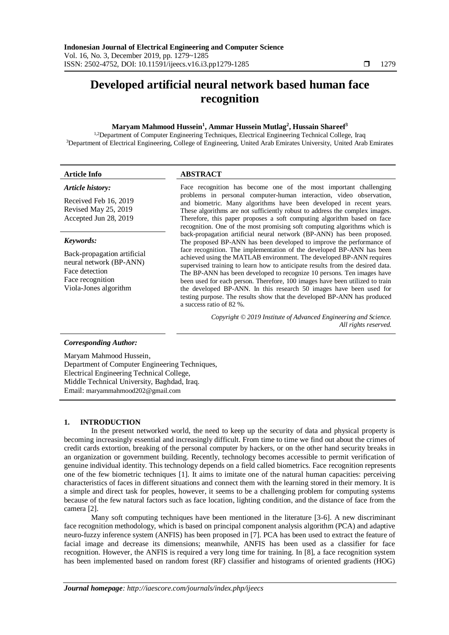# **Developed artificial neural network based human face recognition**

# **Maryam Mahmood Hussein<sup>1</sup> , Ammar Hussein Mutlag<sup>2</sup> , Hussain Shareef<sup>3</sup>**

<sup>1,2</sup>Department of Computer Engineering Techniques, Electrical Engineering Technical College, Iraq <sup>3</sup>Department of Electrical Engineering, College of Engineering, United Arab Emirates University, United Arab Emirates

| <b>Article Info</b>                                                                                                                | <b>ABSTRACT</b>                                                                                                                                                                                                                                                                                                                                                                                                                                                                                                                                                                                                                                                                                                           |
|------------------------------------------------------------------------------------------------------------------------------------|---------------------------------------------------------------------------------------------------------------------------------------------------------------------------------------------------------------------------------------------------------------------------------------------------------------------------------------------------------------------------------------------------------------------------------------------------------------------------------------------------------------------------------------------------------------------------------------------------------------------------------------------------------------------------------------------------------------------------|
| Article history:<br>Received Feb 16, 2019<br>Revised May 25, 2019<br>Accepted Jun 28, 2019                                         | Face recognition has become one of the most important challenging<br>problems in personal computer-human interaction, video observation,<br>and biometric. Many algorithms have been developed in recent years.<br>These algorithms are not sufficiently robust to address the complex images.<br>Therefore, this paper proposes a soft computing algorithm based on face<br>recognition. One of the most promising soft computing algorithms which is                                                                                                                                                                                                                                                                    |
| Keywords:<br>Back-propagation artificial<br>neural network (BP-ANN)<br>Face detection<br>Face recognition<br>Viola-Jones algorithm | back-propagation artificial neural network (BP-ANN) has been proposed.<br>The proposed BP-ANN has been developed to improve the performance of<br>face recognition. The implementation of the developed BP-ANN has been<br>achieved using the MATLAB environment. The developed BP-ANN requires<br>supervised training to learn how to anticipate results from the desired data.<br>The BP-ANN has been developed to recognize 10 persons. Ten images have<br>been used for each person. Therefore, 100 images have been utilized to train<br>the developed BP-ANN. In this research 50 images have been used for<br>testing purpose. The results show that the developed BP-ANN has produced<br>a success ratio of 82 %. |
|                                                                                                                                    | Copyright © 2019 Institute of Advanced Engineering and Science.<br>All rights reserved.                                                                                                                                                                                                                                                                                                                                                                                                                                                                                                                                                                                                                                   |

# *Corresponding Author:*

Maryam Mahmood Hussein, Department of Computer Engineering Techniques, Electrical Engineering Technical College, Middle Technical University, Baghdad, Iraq. Email: maryammahmood202@gmail.com

# **1. INTRODUCTION**

In the present networked world, the need to keep up the security of data and physical property is becoming increasingly essential and increasingly difficult. From time to time we find out about the crimes of credit cards extortion, breaking of the personal computer by hackers, or on the other hand security breaks in an organization or government building. Recently, technology becomes accessible to permit verification of genuine individual identity. This technology depends on a field called biometrics. Face recognition represents one of the few biometric techniques [1]. It aims to imitate one of the natural human capacities: perceiving characteristics of faces in different situations and connect them with the learning stored in their memory. It is a simple and direct task for peoples, however, it seems to be a challenging problem for computing systems because of the few natural factors such as face location, lighting condition, and the distance of face from the camera [2].

Many soft computing techniques have been mentioned in the literature [3-6]. A new discriminant face recognition methodology, which is based on principal component analysis algorithm (PCA) and adaptive neuro-fuzzy inference system (ANFIS) has been proposed in [7]. PCA has been used to extract the feature of facial image and decrease its dimensions; meanwhile, ANFIS has been used as a classifier for face recognition. However, the ANFIS is required a very long time for training. In [8], a face recognition system has been implemented based on random forest (RF) classifier and histograms of oriented gradients (HOG)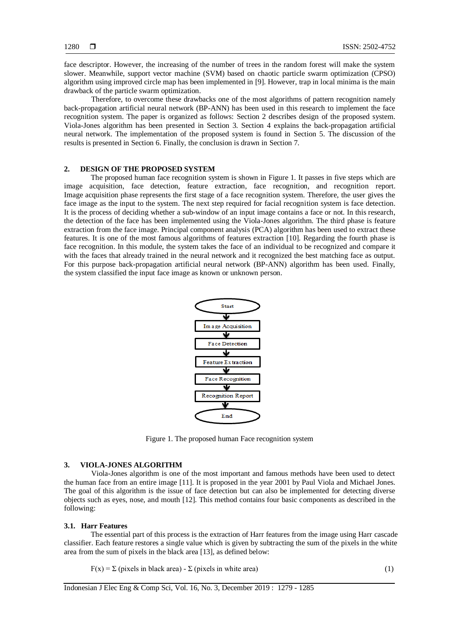face descriptor. However, the increasing of the number of trees in the random forest will make the system slower. Meanwhile, support vector machine (SVM) based on chaotic particle swarm optimization (CPSO) algorithm using improved circle map has been implemented in [9]. However, trap in local minima is the main drawback of the particle swarm optimization.

Therefore, to overcome these drawbacks one of the most algorithms of pattern recognition namely back-propagation artificial neural network (BP-ANN) has been used in this research to implement the face recognition system. The paper is organized as follows: Section 2 describes design of the proposed system. Viola-Jones algorithm has been presented in Section 3. Section 4 explains the back-propagation artificial neural network. The implementation of the proposed system is found in Section 5. The discussion of the results is presented in Section 6. Finally, the conclusion is drawn in Section 7.

# **2. DESIGN OF THE PROPOSED SYSTEM**

The proposed human face recognition system is shown in Figure 1. It passes in five steps which are image acquisition, face detection, feature extraction, face recognition, and recognition report. Image acquisition phase represents the first stage of a face recognition system. Therefore, the user gives the face image as the input to the system. The next step required for facial recognition system is face detection. It is the process of deciding whether a sub-window of an input image contains a face or not. In this research, the detection of the face has been implemented using the Viola-Jones algorithm. The third phase is feature extraction from the face image. Principal component analysis (PCA) algorithm has been used to extract these features. It is one of the most famous algorithms of features extraction [10]. Regarding the fourth phase is face recognition. In this module, the system takes the face of an individual to be recognized and compare it with the faces that already trained in the neural network and it recognized the best matching face as output. For this purpose back-propagation artificial neural network (BP-ANN) algorithm has been used. Finally, the system classified the input face image as known or unknown person.



Figure 1. The proposed human Face recognition system

## **3. VIOLA-JONES ALGORITHM**

Viola-Jones algorithm is one of the most important and famous methods have been used to detect the human face from an entire image [11]. It is proposed in the year 2001 by Paul Viola and Michael Jones. The goal of this algorithm is the issue of face detection but can also be implemented for detecting diverse objects such as eyes, nose, and mouth [12]. This method contains four basic components as described in the following:

#### **3.1. Harr Features**

The essential part of this process is the extraction of Harr features from the image using Harr cascade classifier. Each feature restores a single value which is given by subtracting the sum of the pixels in the white area from the sum of pixels in the black area [13], as defined below:

 $F(x) = \sum$  (pixels in black area) -  $\sum$  (pixels in white area) (1)

Indonesian J Elec Eng & Comp Sci, Vol. 16, No. 3, December 2019 : 1279 - 1285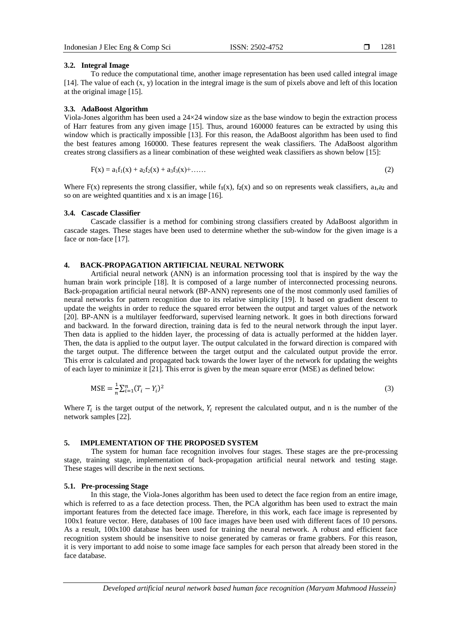## **3.2. Integral Image**

To reduce the computational time, another image representation has been used called integral image [14]. The value of each  $(x, y)$  location in the integral image is the sum of pixels above and left of this location at the original image [15].

## **3.3. AdaBoost Algorithm**

Viola-Jones algorithm has been used a 24×24 window size as the base window to begin the extraction process of Harr features from any given image [15]. Thus, around 160000 features can be extracted by using this window which is practically impossible [13]. For this reason, the AdaBoost algorithm has been used to find the best features among 160000. These features represent the weak classifiers. The AdaBoost algorithm creates strong classifiers as a linear combination of these weighted weak classifiers as shown below [15]:

$$
F(x) = a_1 f_1(x) + a_2 f_2(x) + a_3 f_3(x) + \dots
$$
 (2)

Where  $F(x)$  represents the strong classifier, while  $f_1(x)$ ,  $f_2(x)$  and so on represents weak classifiers, a<sub>1</sub>,a<sub>2</sub> and so on are weighted quantities and x is an image [16].

#### **3.4. Cascade Classifier**

Cascade classifier is a method for combining strong classifiers created by AdaBoost algorithm in cascade stages. These stages have been used to determine whether the sub-window for the given image is a face or non-face [17].

# **4. BACK-PROPAGATION ARTIFICIAL NEURAL NETWORK**

Artificial neural network (ANN) is an information processing tool that is inspired by the way the human brain work principle [18]. It is composed of a large number of interconnected processing neurons. Back-propagation artificial neural network (BP-ANN) represents one of the most commonly used families of neural networks for pattern recognition due to its relative simplicity [19]. It based on gradient descent to update the weights in order to reduce the squared error between the output and target values of the network [20]. BP-ANN is a multilayer feedforward, supervised learning network. It goes in both directions forward and backward. In the forward direction, training data is fed to the neural network through the input layer. Then data is applied to the hidden layer, the processing of data is actually performed at the hidden layer. Then, the data is applied to the output layer. The output calculated in the forward direction is compared with the target output. The difference between the target output and the calculated output provide the error. This error is calculated and propagated back towards the lower layer of the network for updating the weights of each layer to minimize it [21]. This error is given by the mean square error (MSE) as defined below:

$$
MSE = \frac{1}{n} \sum_{i=1}^{n} (T_i - Y_i)^2
$$
\n(3)

Where  $T_i$  is the target output of the network,  $Y_i$  represent the calculated output, and n is the number of the network samples [22].

## **5. IMPLEMENTATION OF THE PROPOSED SYSTEM**

The system for human face recognition involves four stages. These stages are the pre-processing stage, training stage, implementation of back-propagation artificial neural network and testing stage. These stages will describe in the next sections.

#### **5.1. Pre-processing Stage**

In this stage, the Viola-Jones algorithm has been used to detect the face region from an entire image, which is referred to as a face detection process. Then, the PCA algorithm has been used to extract the main important features from the detected face image. Therefore, in this work, each face image is represented by 100x1 feature vector. Here, databases of 100 face images have been used with different faces of 10 persons. As a result, 100x100 database has been used for training the neural network. A robust and efficient face recognition system should be insensitive to noise generated by cameras or frame grabbers. For this reason, it is very important to add noise to some image face samples for each person that already been stored in the face database.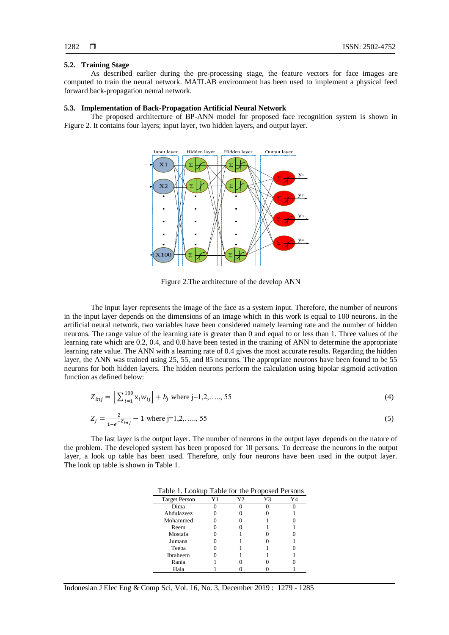## **5.2. Training Stage**

As described earlier during the pre-processing stage, the feature vectors for face images are computed to train the neural network. MATLAB environment has been used to implement a physical feed forward back-propagation neural network.

## **5.3. Implementation of Back-Propagation Artificial Neural Network**

The proposed architecture of BP-ANN model for proposed face recognition system is shown in Figure 2. It contains four layers; input layer, two hidden layers, and output layer.



Figure 2.The architecture of the develop ANN

The input layer represents the image of the face as a system input. Therefore, the number of neurons in the input layer depends on the dimensions of an image which in this work is equal to 100 neurons. In the artificial neural network, two variables have been considered namely learning rate and the number of hidden neurons. The range value of the learning rate is greater than 0 and equal to or less than 1. Three values of the learning rate which are 0.2, 0.4, and 0.8 have been tested in the training of ANN to determine the appropriate learning rate value. The ANN with a learning rate of 0.4 gives the most accurate results. Regarding the hidden layer, the ANN was trained using 25, 55, and 85 neurons. The appropriate neurons have been found to be 55 neurons for both hidden layers. The hidden neurons perform the calculation using bipolar sigmoid activation function as defined below:

$$
Z_{inj} = \left[\sum_{i=1}^{100} x_i w_{ij}\right] + b_j \text{ where } j=1,2,\dots,55
$$
 (4)

$$
Z_j = \frac{2}{1 + e^{-Z_{inj}}} - 1 \text{ where } j = 1, 2, \dots, 55
$$
 (5)

The last layer is the output layer. The number of neurons in the output layer depends on the nature of the problem. The developed system has been proposed for 10 persons. To decrease the neurons in the output layer, a look up table has been used. Therefore, only four neurons have been used in the output layer. The look up table is shown in Table 1.

| TAUIU I. LUUNUU      | I done for the Froposca Ferson's |    |  |
|----------------------|----------------------------------|----|--|
| <b>Target Person</b> | Υ2                               | Y3 |  |
| Dima                 |                                  |    |  |
| Abdulazeez           |                                  |    |  |
| Mohammed             |                                  |    |  |
| Reem                 |                                  |    |  |
| Mostafa              |                                  |    |  |
| Jumana               |                                  |    |  |
| Teeba                |                                  |    |  |
| Ibraheem             |                                  |    |  |
| Rania                |                                  |    |  |
| Hala                 |                                  |    |  |

Table 1. Lookup Table for the Proposed Persons

Indonesian J Elec Eng & Comp Sci, Vol. 16, No. 3, December 2019 : 1279 - 1285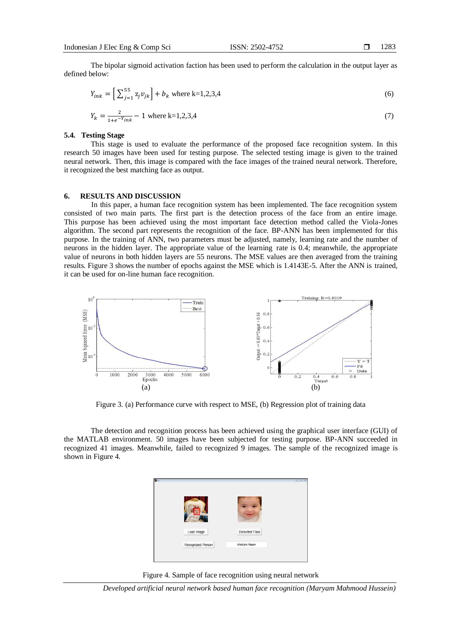The bipolar sigmoid activation faction has been used to perform the calculation in the output layer as defined below:

$$
Y_{ink} = \left[\sum_{j=1}^{55} z_j v_{jk}\right] + b_k \text{ where k=1,2,3,4}
$$
 (6)

$$
Y_k = \frac{2}{1 + e^{-Y_{link}}} - 1 \text{ where k=1,2,3,4}
$$
 (7)

## **5.4. Testing Stage**

This stage is used to evaluate the performance of the proposed face recognition system. In this research 50 images have been used for testing purpose. The selected testing image is given to the trained neural network. Then, this image is compared with the face images of the trained neural network. Therefore, it recognized the best matching face as output.

### **6. RESULTS AND DISCUSSION**

In this paper, a human face recognition system has been implemented. The face recognition system consisted of two main parts. The first part is the detection process of the face from an entire image. This purpose has been achieved using the most important face detection method called the Viola-Jones algorithm. The second part represents the recognition of the face. BP-ANN has been implemented for this purpose. In the training of ANN, two parameters must be adjusted, namely, learning rate and the number of neurons in the hidden layer. The appropriate value of the learning rate is 0.4; meanwhile, the appropriate value of neurons in both hidden layers are 55 neurons. The MSE values are then averaged from the training results. Figure 3 shows the number of epochs against the MSE which is 1.4143E-5. After the ANN is trained, it can be used for on-line human face recognition.



Figure 3. (a) Performance curve with respect to MSE, (b) Regression plot of training data

The detection and recognition process has been achieved using the graphical user interface (GUI) of the MATLAB environment. 50 images have been subjected for testing purpose. BP-ANN succeeded in recognized 41 images. Meanwhile, failed to recognized 9 images. The sample of the recognized image is shown in Figure 4.



Figure 4. Sample of face recognition using neural network

*Developed artificial neural network based human face recognition (Maryam Mahmood Hussein)*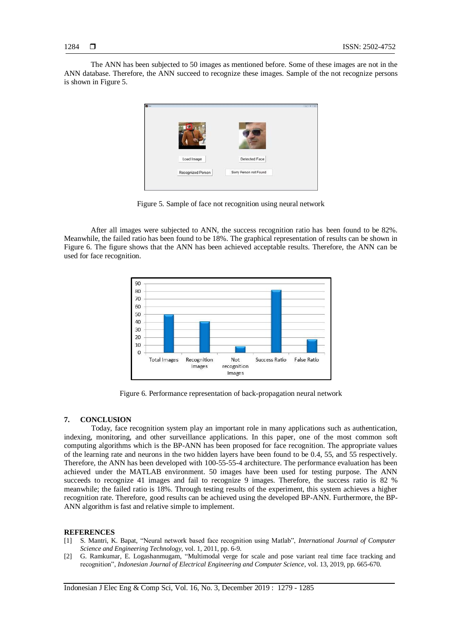The ANN has been subjected to 50 images as mentioned before. Some of these images are not in the ANN database. Therefore, the ANN succeed to recognize these images. Sample of the not recognize persons is shown in Figure 5.



Figure 5. Sample of face not recognition using neural network

After all images were subjected to ANN, the success recognition ratio has been found to be 82%. Meanwhile, the failed ratio has been found to be 18%. The graphical representation of results can be shown in Figure 6. The figure shows that the ANN has been achieved acceptable results. Therefore, the ANN can be used for face recognition.



Figure 6. Performance representation of back-propagation neural network

## **7. CONCLUSION**

Today, face recognition system play an important role in many applications such as authentication, indexing, monitoring, and other surveillance applications. In this paper, one of the most common soft computing algorithms which is the BP-ANN has been proposed for face recognition. The appropriate values of the learning rate and neurons in the two hidden layers have been found to be 0.4, 55, and 55 respectively. Therefore, the ANN has been developed with 100-55-55-4 architecture. The performance evaluation has been achieved under the MATLAB environment. 50 images have been used for testing purpose. The ANN succeeds to recognize 41 images and fail to recognize 9 images. Therefore, the success ratio is 82 % meanwhile; the failed ratio is 18%. Through testing results of the experiment, this system achieves a higher recognition rate. Therefore, good results can be achieved using the developed BP-ANN. Furthermore, the BP-ANN algorithm is fast and relative simple to implement.

## **REFERENCES**

- [1] S. Mantri, K. Bapat, "Neural network based face recognition using Matlab", *International Journal of Computer Science and Engineering Technology,* vol. 1, 2011, pp. 6-9.
- [2] G. Ramkumar, E. Logashanmugam, "Multimodal verge for scale and pose variant real time face tracking and recognition", *Indonesian Journal of Electrical Engineering and Computer Science*, vol. 13, 2019, pp. 665-670.